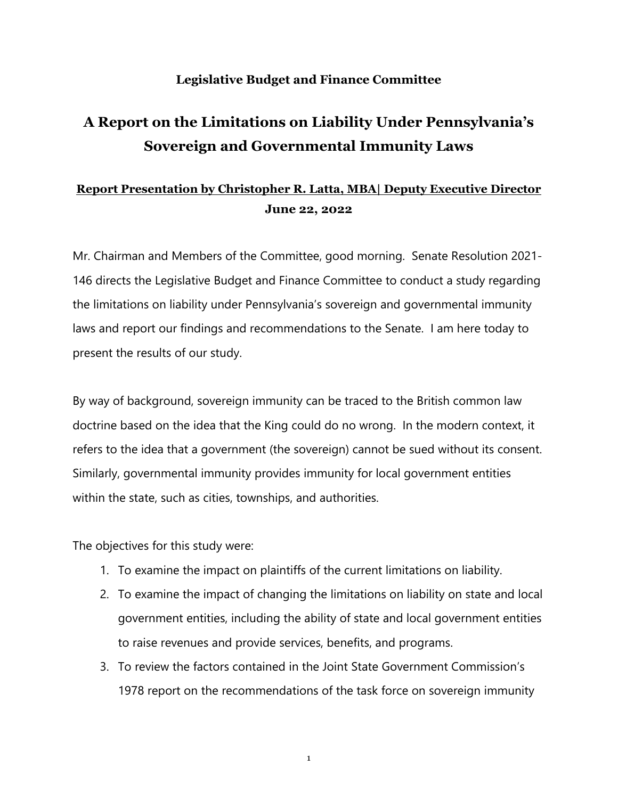## **Legislative Budget and Finance Committee**

## **A Report on the Limitations on Liability Under Pennsylvania's Sovereign and Governmental Immunity Laws**

## **Report Presentation by Christopher R. Latta, MBA| Deputy Executive Director June 22, 2022**

Mr. Chairman and Members of the Committee, good morning. Senate Resolution 2021- 146 directs the Legislative Budget and Finance Committee to conduct a study regarding the limitations on liability under Pennsylvania's sovereign and governmental immunity laws and report our findings and recommendations to the Senate. I am here today to present the results of our study.

By way of background, sovereign immunity can be traced to the British common law doctrine based on the idea that the King could do no wrong. In the modern context, it refers to the idea that a government (the sovereign) cannot be sued without its consent. Similarly, governmental immunity provides immunity for local government entities within the state, such as cities, townships, and authorities.

The objectives for this study were:

- 1. To examine the impact on plaintiffs of the current limitations on liability.
- 2. To examine the impact of changing the limitations on liability on state and local government entities, including the ability of state and local government entities to raise revenues and provide services, benefits, and programs.
- 3. To review the factors contained in the Joint State Government Commission's 1978 report on the recommendations of the task force on sovereign immunity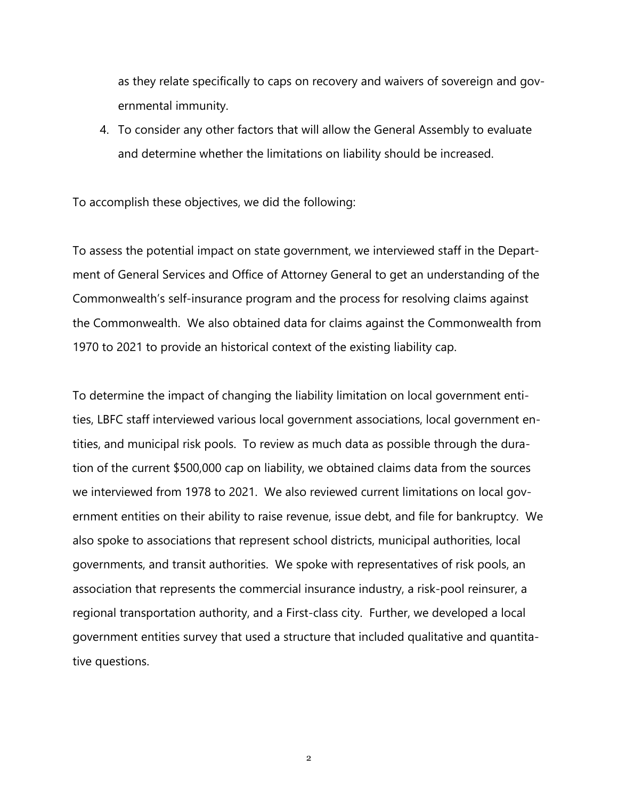as they relate specifically to caps on recovery and waivers of sovereign and governmental immunity.

4. To consider any other factors that will allow the General Assembly to evaluate and determine whether the limitations on liability should be increased.

To accomplish these objectives, we did the following:

To assess the potential impact on state government, we interviewed staff in the Department of General Services and Office of Attorney General to get an understanding of the Commonwealth's self-insurance program and the process for resolving claims against the Commonwealth. We also obtained data for claims against the Commonwealth from 1970 to 2021 to provide an historical context of the existing liability cap.

To determine the impact of changing the liability limitation on local government entities, LBFC staff interviewed various local government associations, local government entities, and municipal risk pools. To review as much data as possible through the duration of the current \$500,000 cap on liability, we obtained claims data from the sources we interviewed from 1978 to 2021. We also reviewed current limitations on local government entities on their ability to raise revenue, issue debt, and file for bankruptcy. We also spoke to associations that represent school districts, municipal authorities, local governments, and transit authorities. We spoke with representatives of risk pools, an association that represents the commercial insurance industry, a risk-pool reinsurer, a regional transportation authority, and a First-class city. Further, we developed a local government entities survey that used a structure that included qualitative and quantitative questions.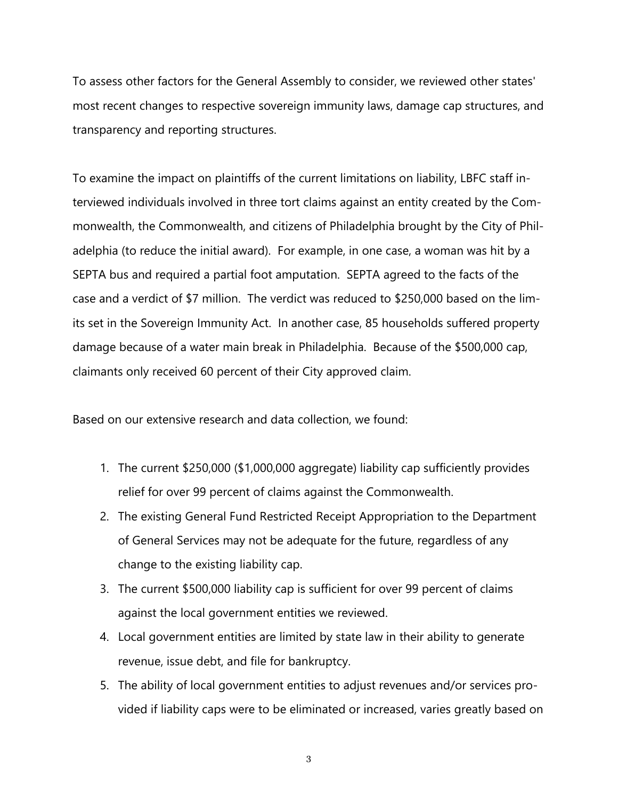To assess other factors for the General Assembly to consider, we reviewed other states' most recent changes to respective sovereign immunity laws, damage cap structures, and transparency and reporting structures.

To examine the impact on plaintiffs of the current limitations on liability, LBFC staff interviewed individuals involved in three tort claims against an entity created by the Commonwealth, the Commonwealth, and citizens of Philadelphia brought by the City of Philadelphia (to reduce the initial award). For example, in one case, a woman was hit by a SEPTA bus and required a partial foot amputation. SEPTA agreed to the facts of the case and a verdict of \$7 million. The verdict was reduced to \$250,000 based on the limits set in the Sovereign Immunity Act. In another case, 85 households suffered property damage because of a water main break in Philadelphia. Because of the \$500,000 cap, claimants only received 60 percent of their City approved claim.

Based on our extensive research and data collection, we found:

- 1. The current \$250,000 (\$1,000,000 aggregate) liability cap sufficiently provides relief for over 99 percent of claims against the Commonwealth.
- 2. The existing General Fund Restricted Receipt Appropriation to the Department of General Services may not be adequate for the future, regardless of any change to the existing liability cap.
- 3. The current \$500,000 liability cap is sufficient for over 99 percent of claims against the local government entities we reviewed.
- 4. Local government entities are limited by state law in their ability to generate revenue, issue debt, and file for bankruptcy.
- 5. The ability of local government entities to adjust revenues and/or services provided if liability caps were to be eliminated or increased, varies greatly based on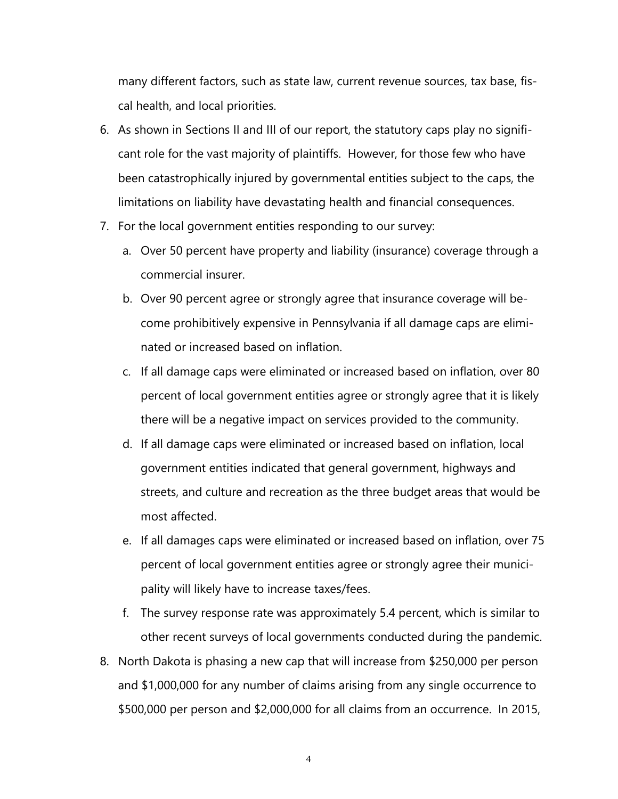many different factors, such as state law, current revenue sources, tax base, fiscal health, and local priorities.

- 6. As shown in Sections II and III of our report, the statutory caps play no significant role for the vast majority of plaintiffs. However, for those few who have been catastrophically injured by governmental entities subject to the caps, the limitations on liability have devastating health and financial consequences.
- 7. For the local government entities responding to our survey:
	- a. Over 50 percent have property and liability (insurance) coverage through a commercial insurer.
	- b. Over 90 percent agree or strongly agree that insurance coverage will become prohibitively expensive in Pennsylvania if all damage caps are eliminated or increased based on inflation.
	- c. If all damage caps were eliminated or increased based on inflation, over 80 percent of local government entities agree or strongly agree that it is likely there will be a negative impact on services provided to the community.
	- d. If all damage caps were eliminated or increased based on inflation, local government entities indicated that general government, highways and streets, and culture and recreation as the three budget areas that would be most affected.
	- e. If all damages caps were eliminated or increased based on inflation, over 75 percent of local government entities agree or strongly agree their municipality will likely have to increase taxes/fees.
	- f. The survey response rate was approximately 5.4 percent, which is similar to other recent surveys of local governments conducted during the pandemic.
- 8. North Dakota is phasing a new cap that will increase from \$250,000 per person and \$1,000,000 for any number of claims arising from any single occurrence to \$500,000 per person and \$2,000,000 for all claims from an occurrence. In 2015,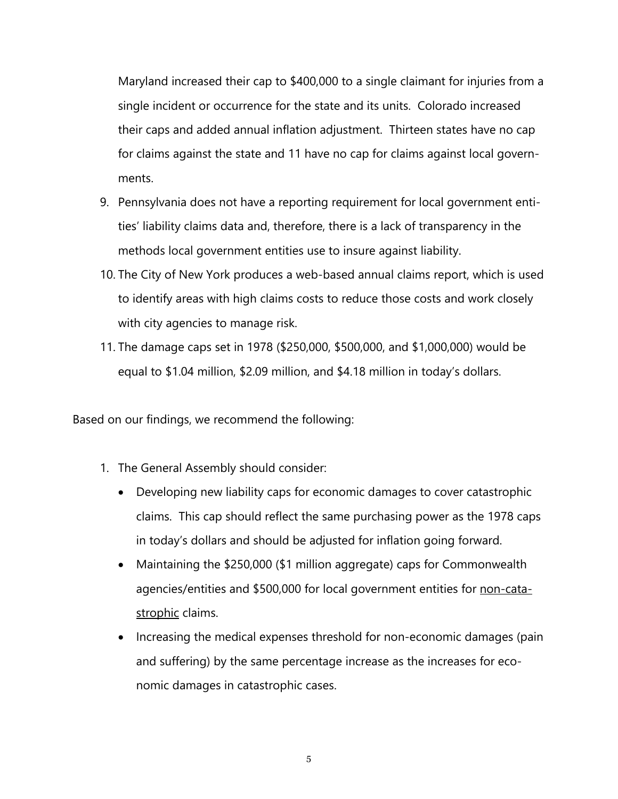Maryland increased their cap to \$400,000 to a single claimant for injuries from a single incident or occurrence for the state and its units. Colorado increased their caps and added annual inflation adjustment. Thirteen states have no cap for claims against the state and 11 have no cap for claims against local governments.

- 9. Pennsylvania does not have a reporting requirement for local government entities' liability claims data and, therefore, there is a lack of transparency in the methods local government entities use to insure against liability.
- 10. The City of New York produces a web-based annual claims report, which is used to identify areas with high claims costs to reduce those costs and work closely with city agencies to manage risk.
- 11. The damage caps set in 1978 (\$250,000, \$500,000, and \$1,000,000) would be equal to \$1.04 million, \$2.09 million, and \$4.18 million in today's dollars.

Based on our findings, we recommend the following:

- 1. The General Assembly should consider:
	- Developing new liability caps for economic damages to cover catastrophic claims. This cap should reflect the same purchasing power as the 1978 caps in today's dollars and should be adjusted for inflation going forward.
	- Maintaining the \$250,000 (\$1 million aggregate) caps for Commonwealth agencies/entities and \$500,000 for local government entities for non-catastrophic claims.
	- Increasing the medical expenses threshold for non-economic damages (pain and suffering) by the same percentage increase as the increases for economic damages in catastrophic cases.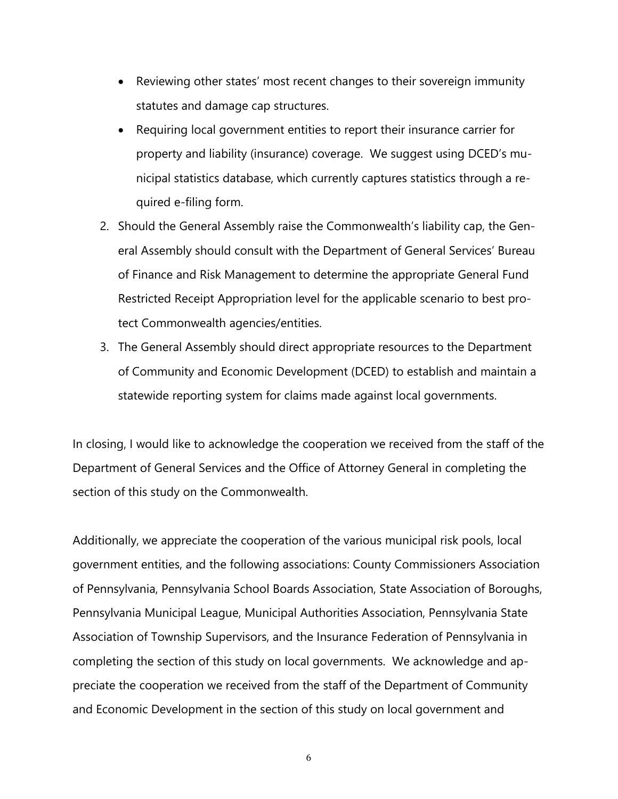- Reviewing other states' most recent changes to their sovereign immunity statutes and damage cap structures.
- Requiring local government entities to report their insurance carrier for property and liability (insurance) coverage. We suggest using DCED's municipal statistics database, which currently captures statistics through a required e-filing form.
- 2. Should the General Assembly raise the Commonwealth's liability cap, the General Assembly should consult with the Department of General Services' Bureau of Finance and Risk Management to determine the appropriate General Fund Restricted Receipt Appropriation level for the applicable scenario to best protect Commonwealth agencies/entities.
- 3. The General Assembly should direct appropriate resources to the Department of Community and Economic Development (DCED) to establish and maintain a statewide reporting system for claims made against local governments.

In closing, I would like to acknowledge the cooperation we received from the staff of the Department of General Services and the Office of Attorney General in completing the section of this study on the Commonwealth.

Additionally, we appreciate the cooperation of the various municipal risk pools, local government entities, and the following associations: County Commissioners Association of Pennsylvania, Pennsylvania School Boards Association, State Association of Boroughs, Pennsylvania Municipal League, Municipal Authorities Association, Pennsylvania State Association of Township Supervisors, and the Insurance Federation of Pennsylvania in completing the section of this study on local governments. We acknowledge and appreciate the cooperation we received from the staff of the Department of Community and Economic Development in the section of this study on local government and